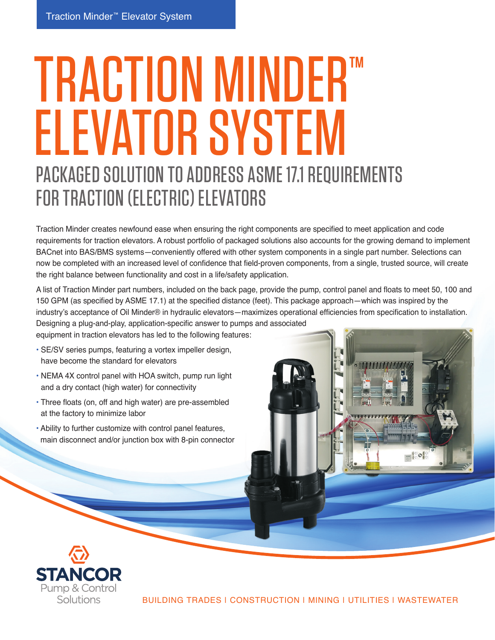## TRACTION MINDER™ ELEVATOR SYSTEM PACKAGED SOLUTION TO ADDRESS ASME 17.1 REQUIREMENTS FOR TRACTION (ELECTRIC) ELEVATORS

Traction Minder creates newfound ease when ensuring the right components are specified to meet application and code requirements for traction elevators. A robust portfolio of packaged solutions also accounts for the growing demand to implement BACnet into BAS/BMS systems—conveniently offered with other system components in a single part number. Selections can now be completed with an increased level of confidence that field-proven components, from a single, trusted source, will create the right balance between functionality and cost in a life/safety application.

A list of Traction Minder part numbers, included on the back page, provide the pump, control panel and floats to meet 50, 100 and 150 GPM (as specified by ASME 17.1) at the specified distance (feet). This package approach—which was inspired by the industry's acceptance of Oil Minder® in hydraulic elevators—maximizes operational efficiencies from specification to installation. Designing a plug-and-play, application-specific answer to pumps and associated

equipment in traction elevators has led to the following features:

- SE/SV series pumps, featuring a vortex impeller design, have become the standard for elevators
- NEMA 4X control panel with HOA switch, pump run light and a dry contact (high water) for connectivity
- Three floats (on, off and high water) are pre-assembled at the factory to minimize labor
- Ability to further customize with control panel features, main disconnect and/or junction box with 8-pin connector